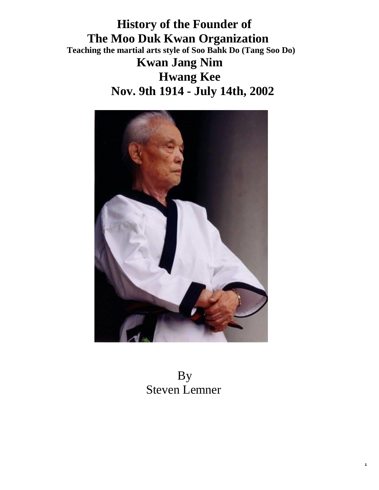**History of the Founder of The Moo Duk Kwan Organization Teaching the martial arts style of Soo Bahk Do (Tang Soo Do) Kwan Jang Nim Hwang Kee Nov. 9th 1914 - July 14th, 2002**



 By Steven Lemner

1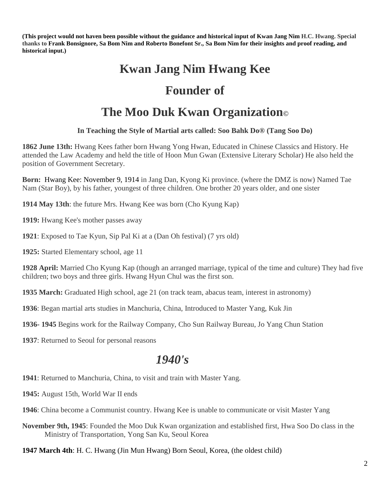**(This project would not haven been possible without the guidance and historical input of Kwan Jang Nim H.C. Hwang. Special thanks to Frank Bonsignore, Sa Bom Nim and Roberto Bonefont Sr., Sa Bom Nim for their insights and proof reading, and historical input.)**

# **Kwan Jang Nim Hwang Kee**

## **Founder of**

# **The Moo Duk Kwan Organization©**

#### **In Teaching the Style of Martial arts called: Soo Bahk Do® (Tang Soo Do)**

**1862 June 13th:** Hwang Kees father born Hwang Yong Hwan, Educated in Chinese Classics and History. He attended the Law Academy and held the title of Hoon Mun Gwan (Extensive Literary Scholar) He also held the position of Government Secretary.

**Born:** Hwang Kee: November 9, 1914 in Jang Dan, Kyong Ki province. (where the DMZ is now) Named Tae Nam (Star Boy), by his father, youngest of three children. One brother 20 years older, and one sister

**1914 May 13th**: the future Mrs. Hwang Kee was born (Cho Kyung Kap)

**1919:** Hwang Kee's mother passes away

**1921**: Exposed to Tae Kyun, Sip Pal Ki at a (Dan Oh festival) (7 yrs old)

**1925:** Started Elementary school, age 11

**1928 April:** Married Cho Kyung Kap (though an arranged marriage, typical of the time and culture) They had five children; two boys and three girls. Hwang Hyun Chul was the first son.

**1935 March:** Graduated High school, age 21 (on track team, abacus team, interest in astronomy)

**1936**: Began martial arts studies in Manchuria, China, Introduced to Master Yang, Kuk Jin

**1936- 1945** Begins work for the Railway Company, Cho Sun Railway Bureau, Jo Yang Chun Station

**1937**: Returned to Seoul for personal reasons

## *1940's*

**1941**: Returned to Manchuria, China, to visit and train with Master Yang.

**1945:** August 15th, World War II ends

**1946**: China become a Communist country. Hwang Kee is unable to communicate or visit Master Yang

**November 9th, 1945**: Founded the Moo Duk Kwan organization and established first, Hwa Soo Do class in the Ministry of Transportation, Yong San Ku, Seoul Korea

**1947 March 4th**: H. C. Hwang (Jin Mun Hwang) Born Seoul, Korea, (the oldest child)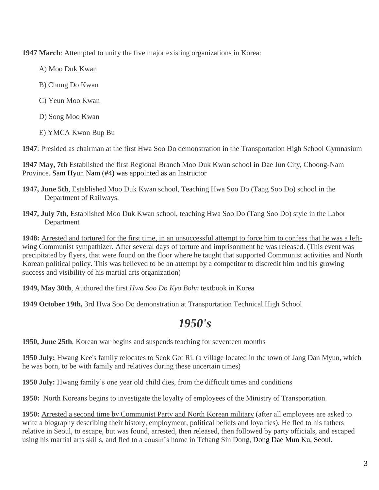**1947 March**: Attempted to unify the five major existing organizations in Korea:

- A) Moo Duk Kwan
- B) Chung Do Kwan
- C) Yeun Moo Kwan
- D) Song Moo Kwan
- E) YMCA Kwon Bup Bu

**1947**: Presided as chairman at the first Hwa Soo Do demonstration in the Transportation High School Gymnasium

**1947 May, 7th** Established the first Regional Branch Moo Duk Kwan school in Dae Jun City, Choong-Nam Province. Sam Hyun Nam (#4) was appointed as an Instructor

- **1947, June 5th**, Established Moo Duk Kwan school, Teaching Hwa Soo Do (Tang Soo Do) school in the Department of Railways.
- **1947, July 7th**, Established Moo Duk Kwan school, teaching Hwa Soo Do (Tang Soo Do) style in the Labor Department

**1948:** Arrested and tortured for the first time, in an unsuccessful attempt to force him to confess that he was a leftwing Communist sympathizer. After several days of torture and imprisonment he was released. (This event was precipitated by flyers, that were found on the floor where he taught that supported Communist activities and North Korean political policy. This was believed to be an attempt by a competitor to discredit him and his growing success and visibility of his martial arts organization)

**1949, May 30th**, Authored the first *Hwa Soo Do Kyo Bohn* textbook in Korea

**1949 October 19th,** 3rd Hwa Soo Do demonstration at Transportation Technical High School

## *1950's*

**1950, June 25th**, Korean war begins and suspends teaching for seventeen months

**1950 July:** Hwang Kee's family relocates to Seok Got Ri. (a village located in the town of Jang Dan Myun, which he was born, to be with family and relatives during these uncertain times)

**1950 July:** Hwang family's one year old child dies, from the difficult times and conditions

**1950:** North Koreans begins to investigate the loyalty of employees of the Ministry of Transportation.

**1950:** Arrested a second time by Communist Party and North Korean military (after all employees are asked to write a biography describing their history, employment, political beliefs and loyalties). He fled to his fathers relative in Seoul, to escape, but was found, arrested, then released, then followed by party officials, and escaped using his martial arts skills, and fled to a cousin's home in Tchang Sin Dong, Dong Dae Mun Ku, Seoul.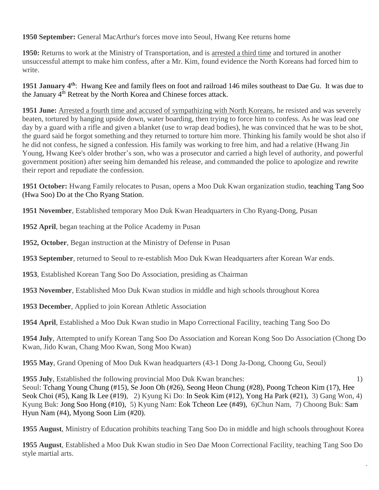**1950 September:** General MacArthur's forces move into Seoul, Hwang Kee returns home

**1950:** Returns to work at the Ministry of Transportation, and is arrested a third time and tortured in another unsuccessful attempt to make him confess, after a Mr. Kim, found evidence the North Koreans had forced him to write.

**1951 January 4th**: Hwang Kee and family flees on foot and railroad 146 miles southeast to Dae Gu. It was due to the January 4<sup>th</sup> Retreat by the North Korea and Chinese forces attack.

**1951 June:** Arrested a fourth time and accused of sympathizing with North Koreans, he resisted and was severely beaten, tortured by hanging upside down, water boarding, then trying to force him to confess. As he was lead one day by a guard with a rifle and given a blanket (use to wrap dead bodies), he was convinced that he was to be shot, the guard said he forgot something and they returned to torture him more. Thinking his family would be shot also if he did not confess, he signed a confession. His family was working to free him, and had a relative (Hwang Jin Young, Hwang Kee's older brother's son, who was a prosecutor and carried a high level of authority, and powerful government position) after seeing him demanded his release, and commanded the police to apologize and rewrite their report and repudiate the confession.

**1951 October:** Hwang Family relocates to Pusan, opens a Moo Duk Kwan organization studio, teaching Tang Soo (Hwa Soo) Do at the Cho Ryang Station.

**1951 November**, Established temporary Moo Duk Kwan Headquarters in Cho Ryang-Dong, Pusan

**1952 April**, began teaching at the Police Academy in Pusan

**1952, October**, Began instruction at the Ministry of Defense in Pusan

**1953 September**, returned to Seoul to re-establish Moo Duk Kwan Headquarters after Korean War ends.

**1953**, Established Korean Tang Soo Do Association, presiding as Chairman

**1953 November**, Established Moo Duk Kwan studios in middle and high schools throughout Korea

**1953 December**, Applied to join Korean Athletic Association

**1954 April**, Established a Moo Duk Kwan studio in Mapo Correctional Facility, teaching Tang Soo Do

**1954 July**, Attempted to unify Korean Tang Soo Do Association and Korean Kong Soo Do Association (Chong Do Kwan, Jido Kwan, Chang Moo Kwan, Song Moo Kwan)

**1955 May**, Grand Opening of Moo Duk Kwan headquarters (43-1 Dong Ja-Dong, Choong Gu, Seoul)

**1955 July**, Established the following provincial Moo Duk Kwan branches: 1) Seoul: Tchang Young Chung (#15), Se Joon Oh (#26), Seong Heon Chung (#28), Poong Tcheon Kim (17), Hee Seok Choi (#5), Kang Ik Lee (#19), 2) Kyung Ki Do: In Seok Kim (#12), Yong Ha Park (#21), 3) Gang Won, 4) Kyung Buk: Jong Soo Hong (#10), 5) Kyung Nam: Eok Tcheon Lee (#49), 6)Chun Nam, 7) Choong Buk: Sam Hyun Nam (#4), Myong Soon Lim (#20).

**1955 August**, Ministry of Education prohibits teaching Tang Soo Do in middle and high schools throughout Korea

**1955 August**, Established a Moo Duk Kwan studio in Seo Dae Moon Correctional Facility, teaching Tang Soo Do style martial arts.

4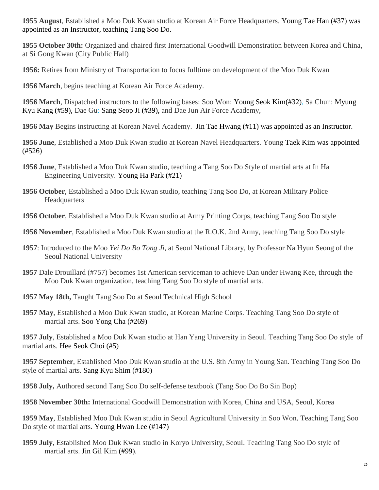**1955 August**, Established a Moo Duk Kwan studio at Korean Air Force Headquarters. Young Tae Han (#37) was appointed as an Instructor, teaching Tang Soo Do.

**1955 October 30th:** Organized and chaired first International Goodwill Demonstration between Korea and China, at Si Gong Kwan (City Public Hall)

**1956:** Retires from Ministry of Transportation to focus fulltime on development of the Moo Duk Kwan

**1956 March**, begins teaching at Korean Air Force Academy.

**1956 March**, Dispatched instructors to the following bases: Soo Won: Young Seok Kim(#32), Sa Chun: Myung Kyu Kang (#59), Dae Gu: Sang Seop Ji (#39), and Dae Jun Air Force Academy,

**1956 May** Begins instructing at Korean Navel Academy. Jin Tae Hwang (#11) was appointed as an Instructor.

**1956 June**, Established a Moo Duk Kwan studio at Korean Navel Headquarters. Young Taek Kim was appointed (#526)

- **1956 June**, Established a Moo Duk Kwan studio, teaching a Tang Soo Do Style of martial arts at In Ha Engineering University. Young Ha Park (#21)
- **1956 October**, Established a Moo Duk Kwan studio, teaching Tang Soo Do, at Korean Military Police **Headquarters**

**1956 October**, Established a Moo Duk Kwan studio at Army Printing Corps, teaching Tang Soo Do style

**1956 November**, Established a Moo Duk Kwan studio at the R.O.K. 2nd Army, teaching Tang Soo Do style

- **1957**: Introduced to the Moo *Yei Do Bo Tong Ji,* at Seoul National Library, by Professor Na Hyun Seong of the Seoul National University
- **1957** Dale Drouillard (#757) becomes 1st American serviceman to achieve Dan under Hwang Kee, through the Moo Duk Kwan organization, teaching Tang Soo Do style of martial arts.
- **1957 May 18th,** Taught Tang Soo Do at Seoul Technical High School
- **1957 May**, Established a Moo Duk Kwan studio, at Korean Marine Corps. Teaching Tang Soo Do style of martial arts. Soo Yong Cha (#269)

**1957 July**, Established a Moo Duk Kwan studio at Han Yang University in Seoul. Teaching Tang Soo Do style of martial arts. Hee Seok Choi (#5)

**1957 September**, Established Moo Duk Kwan studio at the U.S. 8th Army in Young San. Teaching Tang Soo Do style of martial arts. Sang Kyu Shim (#180)

**1958 July,** Authored second Tang Soo Do self-defense textbook (Tang Soo Do Bo Sin Bop)

**1958 November 30th:** International Goodwill Demonstration with Korea, China and USA, Seoul, Korea

**1959 May**, Established Moo Duk Kwan studio in Seoul Agricultural University in Soo Won. Teaching Tang Soo Do style of martial arts. Young Hwan Lee (#147)

**1959 July**, Established Moo Duk Kwan studio in Koryo University, Seoul. Teaching Tang Soo Do style of martial arts. Jin Gil Kim (#99).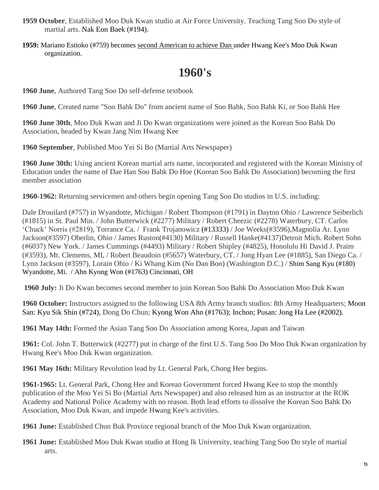- **1959 October**, Established Moo Duk Kwan studio at Air Force University. Teaching Tang Soo Do style of martial arts. Nak Eon Baek (#194).
- **1959:** Mariano Estioko (#759) becomes second American to achieve Dan under Hwang Kee's Moo Duk Kwan organization.

# **1960's**

**1960 June**, Authored Tang Soo Do self-defense textbook

**1960 June**, Created name "Soo Bahk Do" from ancient name of Soo Bahk, Soo Bahk Ki, or Soo Bahk Hee

**1960 June 30th**, Moo Duk Kwan and Ji Do Kwan organizations were joined as the Korean Soo Bahk Do Association, headed by Kwan Jang Nim Hwang Kee

**1960 September**, Published Moo Yei Si Bo (Martial Arts Newspaper)

**1960 June 30th:** Using ancient Korean martial arts name, incorporated and registered with the Korean Ministry of Education under the name of Dae Han Soo Bahk Do Hoe (Korean Soo Bahk Do Association) becoming the first member association

**1960-1962:** Returning servicemen and others begin opening Tang Soo Do studios in U.S. including:

Dale Drouilard (#757) in Wyandotte, Michigan / Robert Thompson (#1791) in Dayton Ohio / Lawrence Seiberlich (#1815) in St. Paul Min. / John Butterwick (#2277) Military / Robert Cheezic (#2278) Waterbury, CT. Carlos 'Chuck' Norris (#2819), Torrance Ca. / Frank Trojanowicz (#13333) / Joe Weeks(#3596),Magnolia Ar. Lynn Jackson(#3597) Oberlin, Ohio / James Ruston(#4130) Military / Russell Hanke(#4137)Detroit Mich. Robert Sohn (#6037) New York. / James Cummings (#4493) Military / Robert Shipley (#4825), Honolulu Hi David J. Praim (#3593), Mt. Clemems, MI, / Robert Beaudoin (#5657) Waterbury, CT. / Jong Hyan Lee (#1885), San Diego Ca. / Lynn Jackson (#3597), Lorain Ohio / Ki Whang Kim (No Dan Bon) (Washington D.C.) / Shim Sang Kyu (#180) Wyandotte, Mi. / Ahn Kyong Won (#1763) Cincinnati, OH

**1960 July:** Ji Do Kwan becomes second member to join Korean Soo Bahk Do Association Moo Duk Kwan

**1960 October:** Instructors assigned to the following USA 8th Army branch studios: 8th Army Headquarters; Moon San: Kyu Sik Shin (#724), Dong Do Chun; Kyong Won Ahn (#1763); Inchon; Pusan: Jong Ha Lee (#2002).

**1961 May 14th:** Formed the Asian Tang Soo Do Association among Korea, Japan and Taiwan

**1961:** Col. John T. Butterwick (#2277) put in charge of the first U.S. Tang Soo Do Moo Duk Kwan organization by Hwang Kee's Moo Duk Kwan organization.

**1961 May 16th:** Military Revolution lead by Lt. General Park, Chong Hee begins.

**1961-1965:** Lt. General Park, Chong Hee and Korean Government forced Hwang Kee to stop the monthly publication of the Moo Yei Si Bo (Martial Arts Newspaper) and also released him as an instructor at the ROK Academy and National Police Academy with no reason. Both lead efforts to dissolve the Korean Soo Bahk Do Association, Moo Duk Kwan, and impede Hwang Kee's activities.

**1961 June:** Established Chun Buk Province regional branch of the Moo Duk Kwan organization.

**1961 June:** Established Moo Duk Kwan studio at Hong Ik University, teaching Tang Soo Do style of martial arts.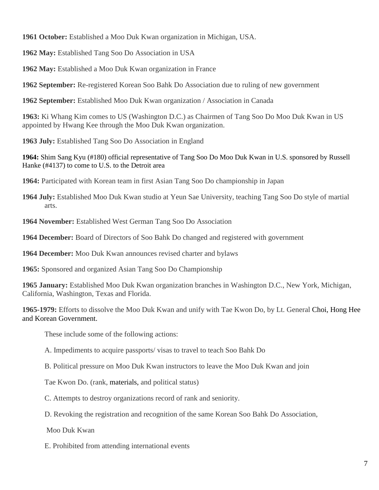**1961 October:** Established a Moo Duk Kwan organization in Michigan, USA.

**1962 May:** Established Tang Soo Do Association in USA

**1962 May:** Established a Moo Duk Kwan organization in France

**1962 September:** Re-registered Korean Soo Bahk Do Association due to ruling of new government

**1962 September:** Established Moo Duk Kwan organization / Association in Canada

**1963:** Ki Whang Kim comes to US (Washington D.C.) as Chairmen of Tang Soo Do Moo Duk Kwan in US appointed by Hwang Kee through the Moo Duk Kwan organization.

**1963 July:** Established Tang Soo Do Association in England

**1964:** Shim Sang Kyu (#180) official representative of Tang Soo Do Moo Duk Kwan in U.S. sponsored by Russell Hanke (#4137) to come to U.S. to the Detroit area

**1964:** Participated with Korean team in first Asian Tang Soo Do championship in Japan

**1964 July:** Established Moo Duk Kwan studio at Yeun Sae University, teaching Tang Soo Do style of martial arts.

**1964 November:** Established West German Tang Soo Do Association

**1964 December:** Board of Directors of Soo Bahk Do changed and registered with government

**1964 December:** Moo Duk Kwan announces revised charter and bylaws

**1965:** Sponsored and organized Asian Tang Soo Do Championship

**1965 January:** Established Moo Duk Kwan organization branches in Washington D.C., New York, Michigan, California, Washington, Texas and Florida.

**1965-1979:** Efforts to dissolve the Moo Duk Kwan and unify with Tae Kwon Do, by Lt. General Choi, Hong Hee and Korean Government.

These include some of the following actions:

A. Impediments to acquire passports/ visas to travel to teach Soo Bahk Do

B. Political pressure on Moo Duk Kwan instructors to leave the Moo Duk Kwan and join

Tae Kwon Do. (rank, materials, and political status)

C. Attempts to destroy organizations record of rank and seniority.

D. Revoking the registration and recognition of the same Korean Soo Bahk Do Association,

Moo Duk Kwan

E. Prohibited from attending international events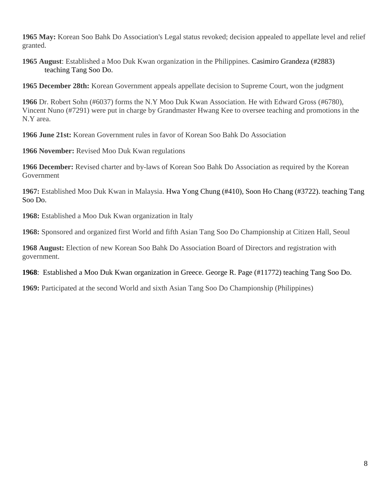**1965 May:** Korean Soo Bahk Do Association's Legal status revoked; decision appealed to appellate level and relief granted.

**1965 August**: Established a Moo Duk Kwan organization in the Philippines. Casimiro Grandeza (#2883) teaching Tang Soo Do.

**1965 December 28th:** Korean Government appeals appellate decision to Supreme Court, won the judgment

**1966** Dr. Robert Sohn (#6037) forms the N.Y Moo Duk Kwan Association. He with Edward Gross (#6780), Vincent Nuno (#7291) were put in charge by Grandmaster Hwang Kee to oversee teaching and promotions in the N.Y area.

**1966 June 21st:** Korean Government rules in favor of Korean Soo Bahk Do Association

**1966 November:** Revised Moo Duk Kwan regulations

**1966 December:** Revised charter and by-laws of Korean Soo Bahk Do Association as required by the Korean Government

**1967:** Established Moo Duk Kwan in Malaysia. Hwa Yong Chung (#410), Soon Ho Chang (#3722). teaching Tang Soo Do.

**1968:** Established a Moo Duk Kwan organization in Italy

**1968:** Sponsored and organized first World and fifth Asian Tang Soo Do Championship at Citizen Hall, Seoul

**1968 August:** Election of new Korean Soo Bahk Do Association Board of Directors and registration with government.

**1968**: Established a Moo Duk Kwan organization in Greece. George R. Page (#11772) teaching Tang Soo Do.

**1969:** Participated at the second World and sixth Asian Tang Soo Do Championship (Philippines)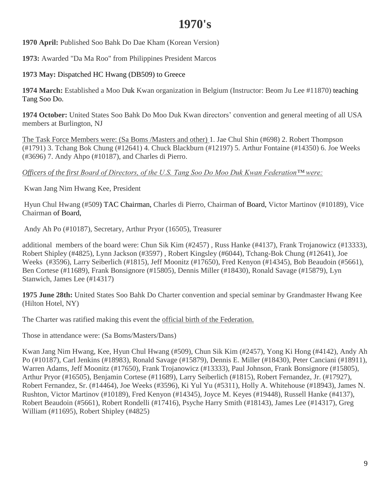## **1970's**

**1970 April:** Published Soo Bahk Do Dae Kham (Korean Version)

**1973:** Awarded "Da Ma Roo" from Philippines President Marcos

**1973 May:** Dispatched HC Hwang (DB509) to Greece

**1974 March:** Established a Moo Duk Kwan organization in Belgium (Instructor: Beom Ju Lee #11870) teaching Tang Soo Do.

**1974 October:** United States Soo Bahk Do Moo Duk Kwan directors' convention and general meeting of all USA members at Burlington, NJ

The Task Force Members were: (Sa Boms /Masters and other) 1. Jae Chul Shin (#698) 2. Robert Thompson (#1791) 3. Tchang Bok Chung (#12641) 4. Chuck Blackburn (#12197) 5. Arthur Fontaine (#14350) 6. Joe Weeks (#3696) 7. Andy Ahpo (#10187), and Charles di Pierro.

*Officers of the first Board of Directors, of the U.S. Tang Soo Do Moo Duk Kwan Federation™ were:* 

Kwan Jang Nim Hwang Kee, President

Hyun Chul Hwang (#509) TAC Chairman, Charles di Pierro, Chairman of Board, Victor Martinov (#10189), Vice Chairman of Board,

Andy Ah Po (#10187), Secretary, Arthur Pryor (16505), Treasurer

additional members of the board were: Chun Sik Kim (#2457) , Russ Hanke (#4137), Frank Trojanowicz (#13333), Robert Shipley (#4825), Lynn Jackson (#3597) , Robert Kingsley (#6044), Tchang-Bok Chung (#12641), Joe Weeks (#3596), Larry Seiberlich (#1815), Jeff Moonitz (#17650), Fred Kenyon (#14345), Bob Beaudoin (#5661), Ben Cortese (#11689), Frank Bonsignore (#15805), Dennis Miller (#18430), Ronald Savage (#15879), Lyn Stanwich, James Lee (#14317)

**1975 June 28th:** United States Soo Bahk Do Charter convention and special seminar by Grandmaster Hwang Kee (Hilton Hotel, NY)

The Charter was ratified making this event the official birth of the Federation.

Those in attendance were: (Sa Boms/Masters/Dans)

Kwan Jang Nim Hwang, Kee, Hyun Chul Hwang (#509), Chun Sik Kim (#2457), Yong Ki Hong (#4142), Andy Ah Po (#10187), Carl Jenkins (#18983), Ronald Savage (#15879), Dennis E. Miller (#18430), Peter Canciani (#18911), Warren Adams, Jeff Moonitz (#17650), Frank Trojanowicz (#13333), Paul Johnson, Frank Bonsignore (#15805), Arthur Pryor (#16505), Benjamin Cortese (#11689), Larry Seiberlich (#1815), Robert Fernandez, Jr. (#17927), Robert Fernandez, Sr. (#14464), Joe Weeks (#3596), Ki Yul Yu (#5311), Holly A. Whitehouse (#18943), James N. Rushton, Victor Martinov (#10189), Fred Kenyon (#14345), Joyce M. Keyes (#19448), Russell Hanke (#4137), Robert Beaudoin (#5661), Robert Rondelli (#17416), Psyche Harry Smith (#18143), James Lee (#14317), Greg William (#11695), Robert Shipley (#4825)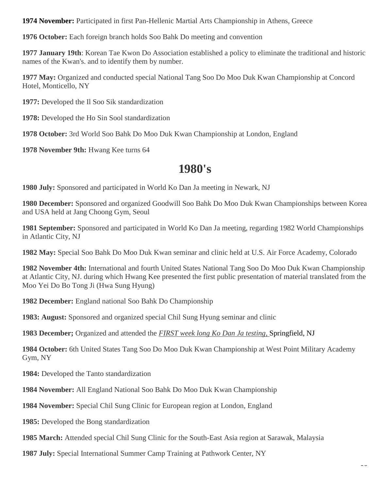**1974 November:** Participated in first Pan-Hellenic Martial Arts Championship in Athens, Greece

**1976 October:** Each foreign branch holds Soo Bahk Do meeting and convention

**1977 January 19th**: Korean Tae Kwon Do Association established a policy to eliminate the traditional and historic names of the Kwan's. and to identify them by number.

**1977 May:** Organized and conducted special National Tang Soo Do Moo Duk Kwan Championship at Concord Hotel, Monticello, NY

**1977:** Developed the Il Soo Sik standardization

**1978:** Developed the Ho Sin Sool standardization

**1978 October:** 3rd World Soo Bahk Do Moo Duk Kwan Championship at London, England

**1978 November 9th:** Hwang Kee turns 64

### **1980's**

**1980 July:** Sponsored and participated in World Ko Dan Ja meeting in Newark, NJ

**1980 December:** Sponsored and organized Goodwill Soo Bahk Do Moo Duk Kwan Championships between Korea and USA held at Jang Choong Gym, Seoul

**1981 September:** Sponsored and participated in World Ko Dan Ja meeting, regarding 1982 World Championships in Atlantic City, NJ

**1982 May:** Special Soo Bahk Do Moo Duk Kwan seminar and clinic held at U.S. Air Force Academy, Colorado

**1982 November 4th:** International and fourth United States National Tang Soo Do Moo Duk Kwan Championship at Atlantic City, NJ. during which Hwang Kee presented the first public presentation of material translated from the Moo Yei Do Bo Tong Ji (Hwa Sung Hyung)

**1982 December:** England national Soo Bahk Do Championship

**1983: August:** Sponsored and organized special Chil Sung Hyung seminar and clinic

**1983 December;** Organized and attended the *FIRST week long Ko Dan Ja testing,* Springfield, NJ

**1984 October:** 6th United States Tang Soo Do Moo Duk Kwan Championship at West Point Military Academy Gym, NY

**1984:** Developed the Tanto standardization

**1984 November:** All England National Soo Bahk Do Moo Duk Kwan Championship

**1984 November:** Special Chil Sung Clinic for European region at London, England

**1985:** Developed the Bong standardization

**1985 March:** Attended special Chil Sung Clinic for the South-East Asia region at Sarawak, Malaysia

**1987 July:** Special International Summer Camp Training at Pathwork Center, NY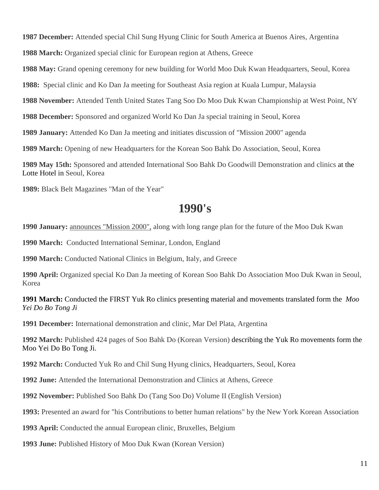**1987 December:** Attended special Chil Sung Hyung Clinic for South America at Buenos Aires, Argentina

**1988 March:** Organized special clinic for European region at Athens, Greece

**1988 May:** Grand opening ceremony for new building for World Moo Duk Kwan Headquarters, Seoul, Korea

**1988:** Special clinic and Ko Dan Ja meeting for Southeast Asia region at Kuala Lumpur, Malaysia

**1988 November:** Attended Tenth United States Tang Soo Do Moo Duk Kwan Championship at West Point, NY

**1988 December:** Sponsored and organized World Ko Dan Ja special training in Seoul, Korea

**1989 January:** Attended Ko Dan Ja meeting and initiates discussion of "Mission 2000" agenda

**1989 March:** Opening of new Headquarters for the Korean Soo Bahk Do Association, Seoul, Korea

**1989 May 15th:** Sponsored and attended International Soo Bahk Do Goodwill Demonstration and clinics at the Lotte Hotel in Seoul, Korea

**1989:** Black Belt Magazines "Man of the Year"

#### **1990's**

**1990 January:** announces "Mission 2000", along with long range plan for the future of the Moo Duk Kwan

**1990 March:** Conducted International Seminar, London, England

**1990 March:** Conducted National Clinics in Belgium, Italy, and Greece

**1990 April:** Organized special Ko Dan Ja meeting of Korean Soo Bahk Do Association Moo Duk Kwan in Seoul, Korea

**1991 March:** Conducted the FIRST Yuk Ro clinics presenting material and movements translated form the *Moo Yei Do Bo Tong Ji*

**1991 December:** International demonstration and clinic, Mar Del Plata, Argentina

**1992 March:** Published 424 pages of Soo Bahk Do (Korean Version) describing the Yuk Ro movements form the Moo Yei Do Bo Tong Ji.

**1992 March:** Conducted Yuk Ro and Chil Sung Hyung clinics, Headquarters, Seoul, Korea

**1992 June:** Attended the International Demonstration and Clinics at Athens, Greece

**1992 November:** Published Soo Bahk Do (Tang Soo Do) Volume II (English Version)

**1993:** Presented an award for "his Contributions to better human relations" by the New York Korean Association

**1993 April:** Conducted the annual European clinic, Bruxelles, Belgium

**1993 June:** Published History of Moo Duk Kwan (Korean Version)